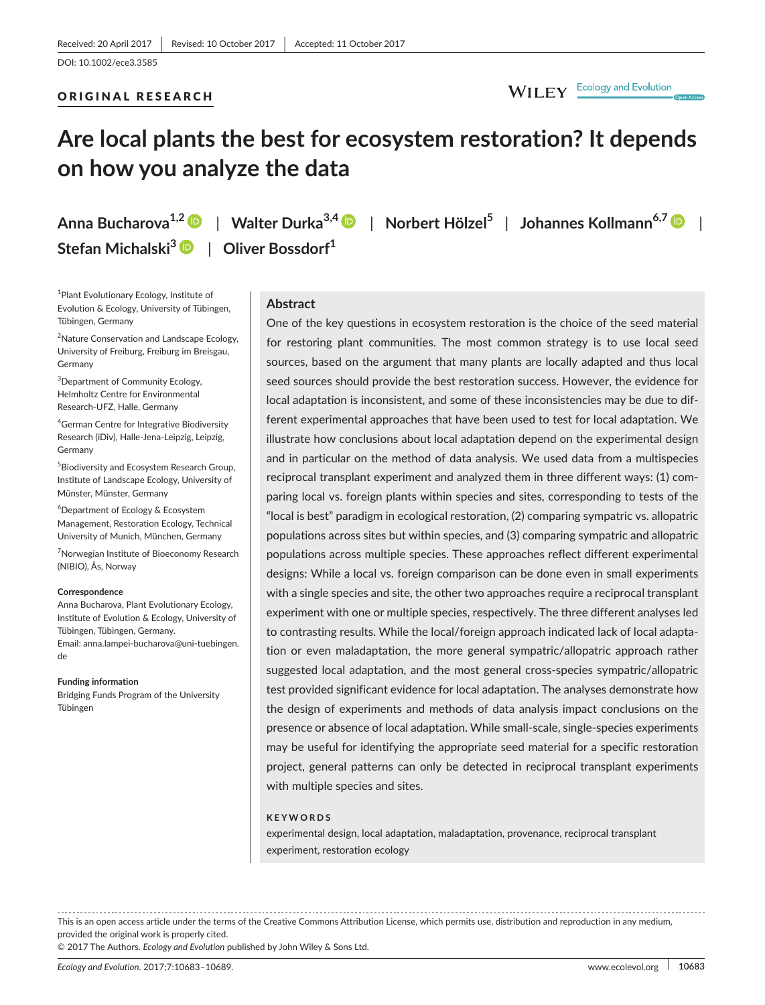### ORIGINAL RESEARCH

# WILEY Ecology and Evolution

# **Are local plants the best for ecosystem restoration? It depends on how you analyze the data**

**Anna Bucharova1,2** | **Walter Durka3,4** | **Norbert Hölzel<sup>5</sup>** | **Johannes Kollmann6,7** | **Stefan Michalski[3](http://orcid.org/0000-0002-8969-7355)** | **Oliver Bossdorf<sup>1</sup>**

1 Plant Evolutionary Ecology, Institute of Evolution & Ecology, University of Tübingen, Tübingen, Germany

<sup>2</sup>Nature Conservation and Landscape Ecology, University of Freiburg, Freiburg im Breisgau, Germany

3 Department of Community Ecology, Helmholtz Centre for Environmental Research-UFZ, Halle, Germany

4 German Centre for Integrative Biodiversity Research (iDiv), Halle-Jena-Leipzig, Leipzig, Germany

5 Biodiversity and Ecosystem Research Group, Institute of Landscape Ecology, University of Münster, Münster, Germany

6 Department of Ecology & Ecosystem Management, Restoration Ecology, Technical University of Munich, München, Germany

<sup>7</sup>Norwegian Institute of Bioeconomy Research (NIBIO), Ås, Norway

#### **Correspondence**

Anna Bucharova, Plant Evolutionary Ecology, Institute of Evolution & Ecology, University of Tübingen, Tübingen, Germany. Email: [anna.lampei-bucharova@uni-tuebingen.](mailto:anna.lampei-bucharova@uni-tuebingen.de) [de](mailto:anna.lampei-bucharova@uni-tuebingen.de)

#### **Funding information**

Bridging Funds Program of the University Tübingen

# **Abstract**

One of the key questions in ecosystem restoration is the choice of the seed material for restoring plant communities. The most common strategy is to use local seed sources, based on the argument that many plants are locally adapted and thus local seed sources should provide the best restoration success. However, the evidence for local adaptation is inconsistent, and some of these inconsistencies may be due to different experimental approaches that have been used to test for local adaptation. We illustrate how conclusions about local adaptation depend on the experimental design and in particular on the method of data analysis. We used data from a multispecies reciprocal transplant experiment and analyzed them in three different ways: (1) comparing local vs. foreign plants within species and sites, corresponding to tests of the "local is best" paradigm in ecological restoration, (2) comparing sympatric vs. allopatric populations across sites but within species, and (3) comparing sympatric and allopatric populations across multiple species. These approaches reflect different experimental designs: While a local vs. foreign comparison can be done even in small experiments with a single species and site, the other two approaches require a reciprocal transplant experiment with one or multiple species, respectively. The three different analyses led to contrasting results. While the local/foreign approach indicated lack of local adaptation or even maladaptation, the more general sympatric/allopatric approach rather suggested local adaptation, and the most general cross-species sympatric/allopatric test provided significant evidence for local adaptation. The analyses demonstrate how the design of experiments and methods of data analysis impact conclusions on the presence or absence of local adaptation. While small-scale, single-species experiments may be useful for identifying the appropriate seed material for a specific restoration project, general patterns can only be detected in reciprocal transplant experiments with multiple species and sites.

### **KEYWORDS**

experimental design, local adaptation, maladaptation, provenance, reciprocal transplant experiment, restoration ecology

This is an open access article under the terms of the Creative Commons [Attribution](http://creativecommons.org/licenses/by/4.0/) License, which permits use, distribution and reproduction in any medium, provided the original work is properly cited.

© 2017 The Authors. *Ecology and Evolution* published by John Wiley & Sons Ltd.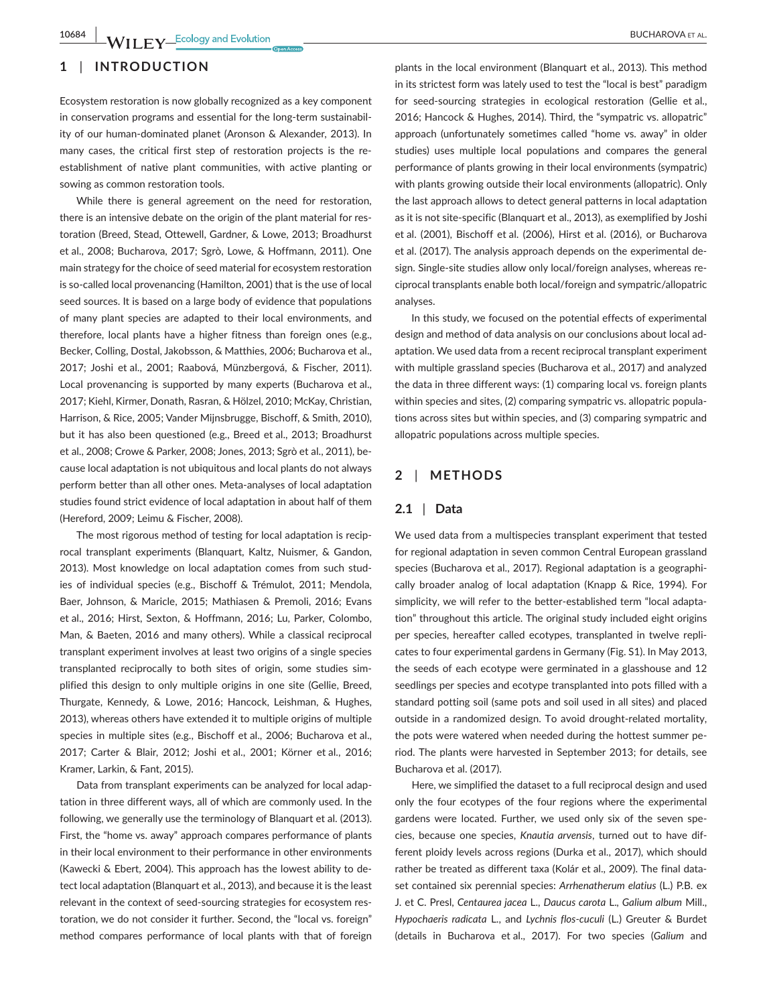## **1** | **INTRODUCTION**

Ecosystem restoration is now globally recognized as a key component in conservation programs and essential for the long-term sustainability of our human-dominated planet (Aronson & Alexander, 2013). In many cases, the critical first step of restoration projects is the reestablishment of native plant communities, with active planting or sowing as common restoration tools.

While there is general agreement on the need for restoration, there is an intensive debate on the origin of the plant material for restoration (Breed, Stead, Ottewell, Gardner, & Lowe, 2013; Broadhurst et al., 2008; Bucharova, 2017; Sgrò, Lowe, & Hoffmann, 2011). One main strategy for the choice of seed material for ecosystem restoration is so-called local provenancing (Hamilton, 2001) that is the use of local seed sources. It is based on a large body of evidence that populations of many plant species are adapted to their local environments, and therefore, local plants have a higher fitness than foreign ones (e.g., Becker, Colling, Dostal, Jakobsson, & Matthies, 2006; Bucharova et al., 2017; Joshi et al., 2001; Raabová, Münzbergová, & Fischer, 2011). Local provenancing is supported by many experts (Bucharova et al., 2017; Kiehl, Kirmer, Donath, Rasran, & Hölzel, 2010; McKay, Christian, Harrison, & Rice, 2005; Vander Mijnsbrugge, Bischoff, & Smith, 2010), but it has also been questioned (e.g., Breed et al., 2013; Broadhurst et al., 2008; Crowe & Parker, 2008; Jones, 2013; Sgrò et al., 2011), because local adaptation is not ubiquitous and local plants do not always perform better than all other ones. Meta-analyses of local adaptation studies found strict evidence of local adaptation in about half of them (Hereford, 2009; Leimu & Fischer, 2008).

The most rigorous method of testing for local adaptation is reciprocal transplant experiments (Blanquart, Kaltz, Nuismer, & Gandon, 2013). Most knowledge on local adaptation comes from such studies of individual species (e.g., Bischoff & Trémulot, 2011; Mendola, Baer, Johnson, & Maricle, 2015; Mathiasen & Premoli, 2016; Evans et al., 2016; Hirst, Sexton, & Hoffmann, 2016; Lu, Parker, Colombo, Man, & Baeten, 2016 and many others). While a classical reciprocal transplant experiment involves at least two origins of a single species transplanted reciprocally to both sites of origin, some studies simplified this design to only multiple origins in one site (Gellie, Breed, Thurgate, Kennedy, & Lowe, 2016; Hancock, Leishman, & Hughes, 2013), whereas others have extended it to multiple origins of multiple species in multiple sites (e.g., Bischoff et al., 2006; Bucharova et al., 2017; Carter & Blair, 2012; Joshi et al., 2001; Körner et al., 2016; Kramer, Larkin, & Fant, 2015).

Data from transplant experiments can be analyzed for local adaptation in three different ways, all of which are commonly used. In the following, we generally use the terminology of Blanquart et al. (2013). First, the "home vs. away" approach compares performance of plants in their local environment to their performance in other environments (Kawecki & Ebert, 2004). This approach has the lowest ability to detect local adaptation (Blanquart et al., 2013), and because it is the least relevant in the context of seed-sourcing strategies for ecosystem restoration, we do not consider it further. Second, the "local vs. foreign" method compares performance of local plants with that of foreign

plants in the local environment (Blanquart et al., 2013). This method in its strictest form was lately used to test the "local is best" paradigm for seed-sourcing strategies in ecological restoration (Gellie et al., 2016; Hancock & Hughes, 2014). Third, the "sympatric vs. allopatric" approach (unfortunately sometimes called "home vs. away" in older studies) uses multiple local populations and compares the general performance of plants growing in their local environments (sympatric) with plants growing outside their local environments (allopatric). Only the last approach allows to detect general patterns in local adaptation as it is not site-specific (Blanquart et al., 2013), as exemplified by Joshi et al. (2001), Bischoff et al. (2006), Hirst et al. (2016), or Bucharova et al. (2017). The analysis approach depends on the experimental design. Single-site studies allow only local/foreign analyses, whereas reciprocal transplants enable both local/foreign and sympatric/allopatric analyses.

In this study, we focused on the potential effects of experimental design and method of data analysis on our conclusions about local adaptation. We used data from a recent reciprocal transplant experiment with multiple grassland species (Bucharova et al., 2017) and analyzed the data in three different ways: (1) comparing local vs. foreign plants within species and sites, (2) comparing sympatric vs. allopatric populations across sites but within species, and (3) comparing sympatric and allopatric populations across multiple species.

# **2** | **METHODS**

### **2.1** | **Data**

We used data from a multispecies transplant experiment that tested for regional adaptation in seven common Central European grassland species (Bucharova et al., 2017). Regional adaptation is a geographically broader analog of local adaptation (Knapp & Rice, 1994). For simplicity, we will refer to the better-established term "local adaptation" throughout this article. The original study included eight origins per species, hereafter called ecotypes, transplanted in twelve replicates to four experimental gardens in Germany (Fig. S1). In May 2013, the seeds of each ecotype were germinated in a glasshouse and 12 seedlings per species and ecotype transplanted into pots filled with a standard potting soil (same pots and soil used in all sites) and placed outside in a randomized design. To avoid drought-related mortality, the pots were watered when needed during the hottest summer period. The plants were harvested in September 2013; for details, see Bucharova et al. (2017).

Here, we simplified the dataset to a full reciprocal design and used only the four ecotypes of the four regions where the experimental gardens were located. Further, we used only six of the seven species, because one species, *Knautia arvensis*, turned out to have different ploidy levels across regions (Durka et al., 2017), which should rather be treated as different taxa (Kolár et al., 2009). The final dataset contained six perennial species: *Arrhenatherum elatius* (L.) P.B. ex J. et C. Presl, *Centaurea jacea* L., *Daucus carota* L.*, Galium album* Mill., *Hypochaeris radicata* L., and *Lychnis flos-cuculi* (L.) Greuter & Burdet (details in Bucharova et al., 2017). For two species (*Galium* and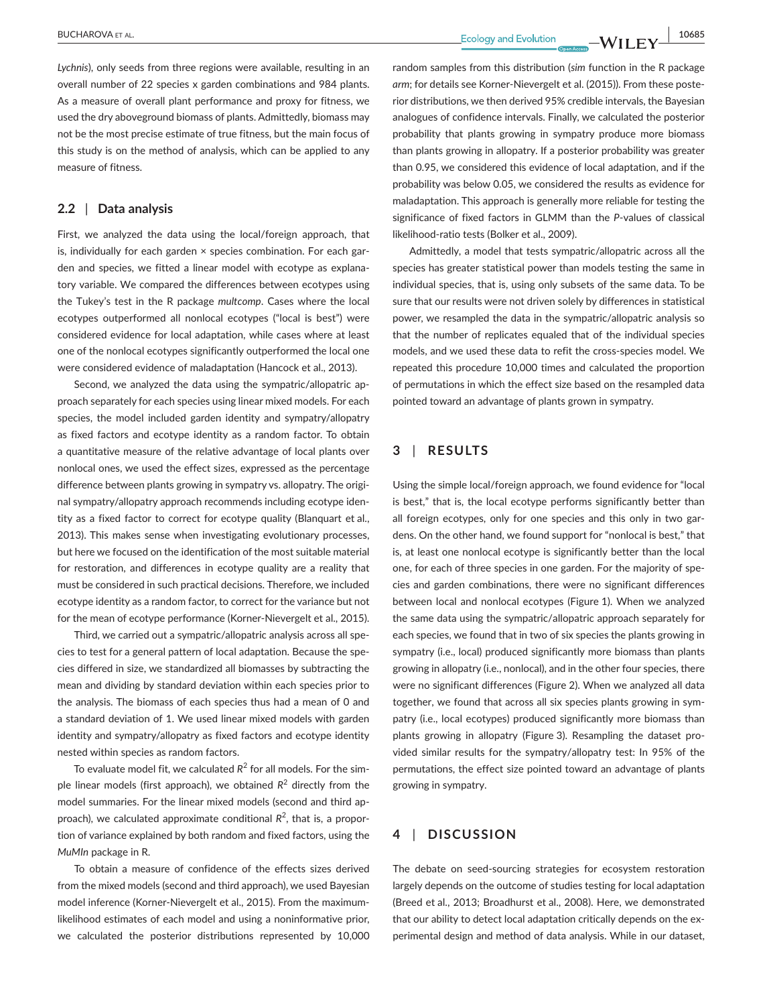*Lychnis*), only seeds from three regions were available, resulting in an overall number of 22 species x garden combinations and 984 plants. As a measure of overall plant performance and proxy for fitness, we used the dry aboveground biomass of plants. Admittedly, biomass may not be the most precise estimate of true fitness, but the main focus of this study is on the method of analysis, which can be applied to any measure of fitness.

# **2.2** | **Data analysis**

First, we analyzed the data using the local/foreign approach, that is, individually for each garden × species combination. For each garden and species, we fitted a linear model with ecotype as explanatory variable. We compared the differences between ecotypes using the Tukey's test in the R package *multcomp*. Cases where the local ecotypes outperformed all nonlocal ecotypes ("local is best") were considered evidence for local adaptation, while cases where at least one of the nonlocal ecotypes significantly outperformed the local one were considered evidence of maladaptation (Hancock et al., 2013).

Second, we analyzed the data using the sympatric/allopatric approach separately for each species using linear mixed models. For each species, the model included garden identity and sympatry/allopatry as fixed factors and ecotype identity as a random factor. To obtain a quantitative measure of the relative advantage of local plants over nonlocal ones, we used the effect sizes, expressed as the percentage difference between plants growing in sympatry vs. allopatry. The original sympatry/allopatry approach recommends including ecotype identity as a fixed factor to correct for ecotype quality (Blanquart et al., 2013). This makes sense when investigating evolutionary processes, but here we focused on the identification of the most suitable material for restoration, and differences in ecotype quality are a reality that must be considered in such practical decisions. Therefore, we included ecotype identity as a random factor, to correct for the variance but not for the mean of ecotype performance (Korner-Nievergelt et al., 2015).

Third, we carried out a sympatric/allopatric analysis across all species to test for a general pattern of local adaptation. Because the species differed in size, we standardized all biomasses by subtracting the mean and dividing by standard deviation within each species prior to the analysis. The biomass of each species thus had a mean of 0 and a standard deviation of 1. We used linear mixed models with garden identity and sympatry/allopatry as fixed factors and ecotype identity nested within species as random factors.

To evaluate model fit, we calculated  $R^2$  for all models. For the simple linear models (first approach), we obtained *R*<sup>2</sup> directly from the model summaries. For the linear mixed models (second and third approach), we calculated approximate conditional R<sup>2</sup>, that is, a proportion of variance explained by both random and fixed factors, using the *MuMIn* package in R.

To obtain a measure of confidence of the effects sizes derived from the mixed models (second and third approach), we used Bayesian model inference (Korner-Nievergelt et al., 2015). From the maximumlikelihood estimates of each model and using a noninformative prior, we calculated the posterior distributions represented by 10,000 random samples from this distribution (*sim* function in the R package *arm*; for details see Korner-Nievergelt et al. (2015)). From these posterior distributions, we then derived 95% credible intervals, the Bayesian analogues of confidence intervals. Finally, we calculated the posterior probability that plants growing in sympatry produce more biomass than plants growing in allopatry. If a posterior probability was greater than 0.95, we considered this evidence of local adaptation, and if the probability was below 0.05, we considered the results as evidence for maladaptation. This approach is generally more reliable for testing the significance of fixed factors in GLMM than the *P*-values of classical likelihood-ratio tests (Bolker et al., 2009).

Admittedly, a model that tests sympatric/allopatric across all the species has greater statistical power than models testing the same in individual species, that is, using only subsets of the same data. To be sure that our results were not driven solely by differences in statistical power, we resampled the data in the sympatric/allopatric analysis so that the number of replicates equaled that of the individual species models, and we used these data to refit the cross-species model. We repeated this procedure 10,000 times and calculated the proportion of permutations in which the effect size based on the resampled data pointed toward an advantage of plants grown in sympatry.

# **3** | **RESULTS**

Using the simple local/foreign approach, we found evidence for "local is best," that is, the local ecotype performs significantly better than all foreign ecotypes, only for one species and this only in two gardens. On the other hand, we found support for "nonlocal is best," that is, at least one nonlocal ecotype is significantly better than the local one, for each of three species in one garden. For the majority of species and garden combinations, there were no significant differences between local and nonlocal ecotypes (Figure 1). When we analyzed the same data using the sympatric/allopatric approach separately for each species, we found that in two of six species the plants growing in sympatry (i.e., local) produced significantly more biomass than plants growing in allopatry (i.e., nonlocal), and in the other four species, there were no significant differences (Figure 2). When we analyzed all data together, we found that across all six species plants growing in sympatry (i.e., local ecotypes) produced significantly more biomass than plants growing in allopatry (Figure 3). Resampling the dataset provided similar results for the sympatry/allopatry test: In 95% of the permutations, the effect size pointed toward an advantage of plants growing in sympatry.

# **4** | **DISCUSSION**

The debate on seed-sourcing strategies for ecosystem restoration largely depends on the outcome of studies testing for local adaptation (Breed et al., 2013; Broadhurst et al., 2008). Here, we demonstrated that our ability to detect local adaptation critically depends on the experimental design and method of data analysis. While in our dataset,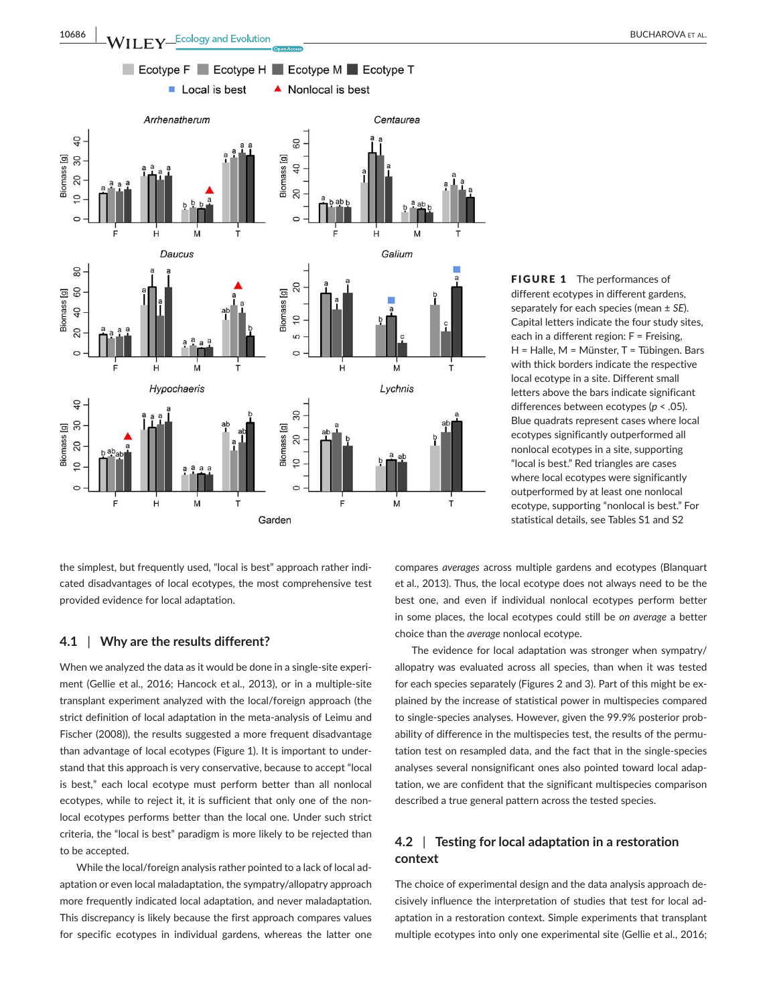

different ecotypes in different gardens, separately for each species (mean ± *SE*). Capital letters indicate the four study sites, each in a different region: F = Freising, H = Halle, M = Münster, T = Tübingen. Bars with thick borders indicate the respective local ecotype in a site. Different small letters above the bars indicate significant differences between ecotypes (*p* < .05). Blue quadrats represent cases where local ecotypes significantly outperformed all nonlocal ecotypes in a site, supporting "local is best." Red triangles are cases where local ecotypes were significantly outperformed by at least one nonlocal ecotype, supporting "nonlocal is best." For statistical details, see Tables S1 and S2

FIGURE 1 The performances of

the simplest, but frequently used, "local is best" approach rather indicated disadvantages of local ecotypes, the most comprehensive test provided evidence for local adaptation.

### **4.1** | **Why are the results different?**

When we analyzed the data as it would be done in a single-site experiment (Gellie et al., 2016; Hancock et al., 2013), or in a multiple-site transplant experiment analyzed with the local/foreign approach (the strict definition of local adaptation in the meta-analysis of Leimu and Fischer (2008)), the results suggested a more frequent disadvantage than advantage of local ecotypes (Figure 1). It is important to understand that this approach is very conservative, because to accept "local is best," each local ecotype must perform better than all nonlocal ecotypes, while to reject it, it is sufficient that only one of the nonlocal ecotypes performs better than the local one. Under such strict criteria, the "local is best" paradigm is more likely to be rejected than to be accepted.

While the local/foreign analysis rather pointed to a lack of local adaptation or even local maladaptation, the sympatry/allopatry approach more frequently indicated local adaptation, and never maladaptation. This discrepancy is likely because the first approach compares values for specific ecotypes in individual gardens, whereas the latter one

compares *averages* across multiple gardens and ecotypes (Blanquart et al., 2013). Thus, the local ecotype does not always need to be the best one, and even if individual nonlocal ecotypes perform better in some places, the local ecotypes could still be *on average* a better choice than the *average* nonlocal ecotype.

The evidence for local adaptation was stronger when sympatry/ allopatry was evaluated across all species, than when it was tested for each species separately (Figures 2 and 3). Part of this might be explained by the increase of statistical power in multispecies compared to single-species analyses. However, given the 99.9% posterior probability of difference in the multispecies test, the results of the permutation test on resampled data, and the fact that in the single-species analyses several nonsignificant ones also pointed toward local adaptation, we are confident that the significant multispecies comparison described a true general pattern across the tested species.

# **4.2** | **Testing for local adaptation in a restoration context**

The choice of experimental design and the data analysis approach decisively influence the interpretation of studies that test for local adaptation in a restoration context. Simple experiments that transplant multiple ecotypes into only one experimental site (Gellie et al., 2016;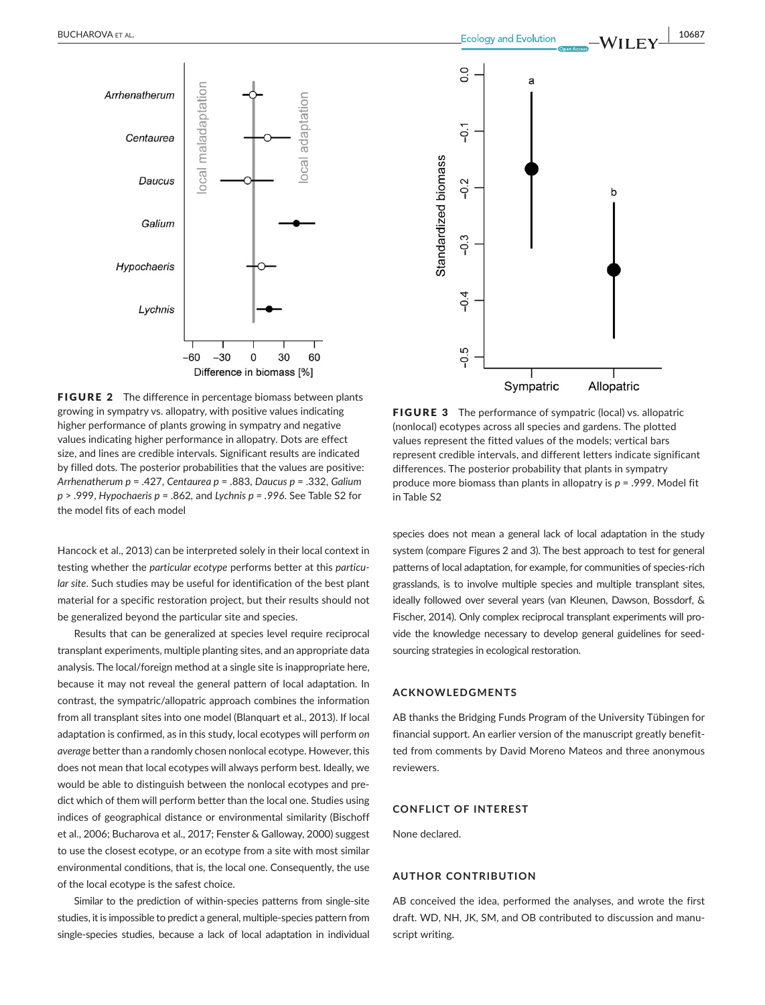



FIGURE 2 The difference in percentage biomass between plants growing in sympatry vs. allopatry, with positive values indicating higher performance of plants growing in sympatry and negative values indicating higher performance in allopatry. Dots are effect size, and lines are credible intervals. Significant results are indicated by filled dots. The posterior probabilities that the values are positive: *Arrhenatherum p* = .427, *Centaurea p* = .883, *Daucus p* = .332, *Galium p* > .999, *Hypochaeris p* = .862*,* and *Lychnis p = .996*. See Table S2 for the model fits of each model

Hancock et al., 2013) can be interpreted solely in their local context in testing whether the *particular ecotype* performs better at this *particular site*. Such studies may be useful for identification of the best plant material for a specific restoration project, but their results should not be generalized beyond the particular site and species.

Results that can be generalized at species level require reciprocal transplant experiments, multiple planting sites, and an appropriate data analysis. The local/foreign method at a single site is inappropriate here, because it may not reveal the general pattern of local adaptation. In contrast, the sympatric/allopatric approach combines the information from all transplant sites into one model (Blanquart et al., 2013). If local adaptation is confirmed, as in this study, local ecotypes will perform *on average* better than a randomly chosen nonlocal ecotype. However, this does not mean that local ecotypes will always perform best. Ideally, we would be able to distinguish between the nonlocal ecotypes and predict which of them will perform better than the local one. Studies using indices of geographical distance or environmental similarity (Bischoff et al., 2006; Bucharova et al., 2017; Fenster & Galloway, 2000) suggest to use the closest ecotype, or an ecotype from a site with most similar environmental conditions, that is, the local one. Consequently, the use of the local ecotype is the safest choice.

Similar to the prediction of within-species patterns from single-site studies, it is impossible to predict a general, multiple-species pattern from single-species studies, because a lack of local adaptation in individual

FIGURE 3 The performance of sympatric (local) vs. allopatric (nonlocal) ecotypes across all species and gardens. The plotted values represent the fitted values of the models; vertical bars represent credible intervals, and different letters indicate significant differences. The posterior probability that plants in sympatry produce more biomass than plants in allopatry is *p* = .999. Model fit in Table S2

species does not mean a general lack of local adaptation in the study system (compare Figures 2 and 3). The best approach to test for general patterns of local adaptation, for example, for communities of species-rich grasslands, is to involve multiple species and multiple transplant sites, ideally followed over several years (van Kleunen, Dawson, Bossdorf, & Fischer, 2014). Only complex reciprocal transplant experiments will provide the knowledge necessary to develop general guidelines for seedsourcing strategies in ecological restoration.

#### **ACKNOWLEDGMENTS**

AB thanks the Bridging Funds Program of the University Tübingen for financial support. An earlier version of the manuscript greatly benefitted from comments by David Moreno Mateos and three anonymous reviewers.

#### **CONFLICT OF INTEREST**

None declared.

### **AUTHOR CONTRIBUTION**

AB conceived the idea, performed the analyses, and wrote the first draft. WD, NH, JK, SM, and OB contributed to discussion and manuscript writing.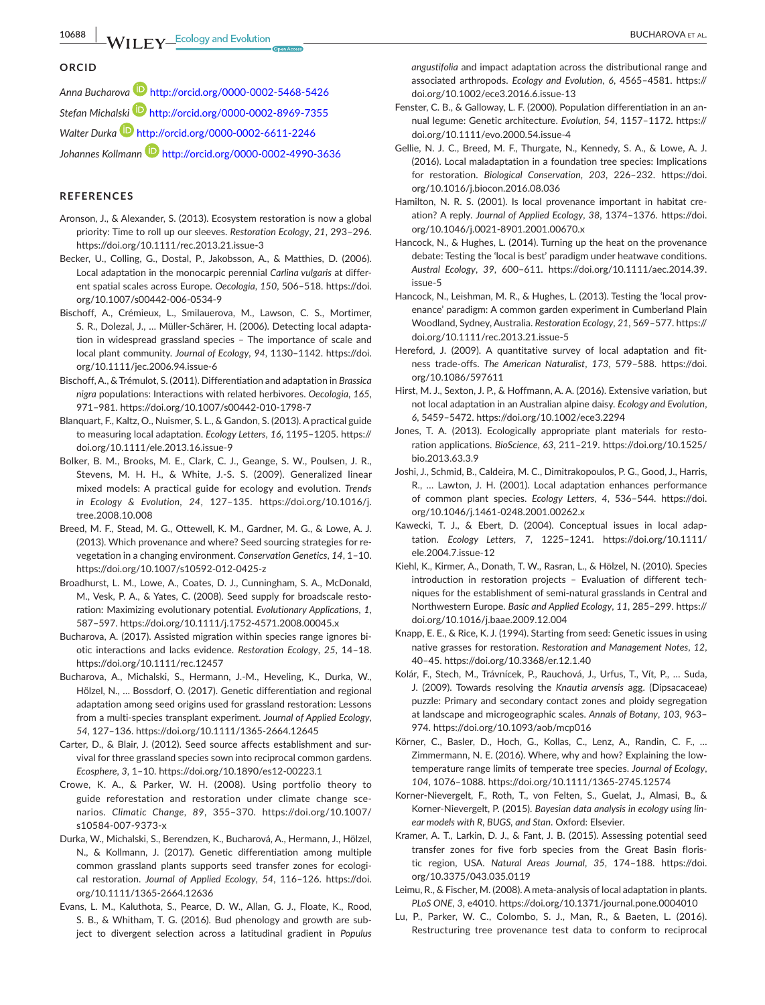#### **ORCID**

*Anna Bucharov[a](http://orcid.org/0000-0002-5468-5426)* <http://orcid.org/0000-0002-5468-5426> *Stefan Michalski* <http://orcid.org/0000-0002-8969-7355> *Walter Durka* <http://orcid.org/0000-0002-6611-2246> *Johannes Kollmann* <http://orcid.org/0000-0002-4990-3636>

#### **REFERENCES**

- Aronson, J., & Alexander, S. (2013). Ecosystem restoration is now a global priority: Time to roll up our sleeves. *Restoration Ecology*, *21*, 293–296. <https://doi.org/10.1111/rec.2013.21.issue-3>
- Becker, U., Colling, G., Dostal, P., Jakobsson, A., & Matthies, D. (2006). Local adaptation in the monocarpic perennial *Carlina vulgaris* at different spatial scales across Europe. *Oecologia*, *150*, 506–518. [https://doi.](https://doi.org/10.1007/s00442-006-0534-9) [org/10.1007/s00442-006-0534-9](https://doi.org/10.1007/s00442-006-0534-9)
- Bischoff, A., Crémieux, L., Smilauerova, M., Lawson, C. S., Mortimer, S. R., Dolezal, J., … Müller-Schärer, H. (2006). Detecting local adaptation in widespread grassland species – The importance of scale and local plant community. *Journal of Ecology*, *94*, 1130–1142. [https://doi.](https://doi.org/10.1111/jec.2006.94.issue-6) [org/10.1111/jec.2006.94.issue-6](https://doi.org/10.1111/jec.2006.94.issue-6)
- Bischoff,A., & Trémulot, S. (2011). Differentiation and adaptation in *Brassica nigra* populations: Interactions with related herbivores. *Oecologia*, *165*, 971–981. <https://doi.org/10.1007/s00442-010-1798-7>
- Blanquart, F., Kaltz, O., Nuismer, S. L., & Gandon, S. (2013). A practical guide to measuring local adaptation. *Ecology Letters*, *16*, 1195–1205. [https://](https://doi.org/10.1111/ele.2013.16.issue-9) [doi.org/10.1111/ele.2013.16.issue-9](https://doi.org/10.1111/ele.2013.16.issue-9)
- Bolker, B. M., Brooks, M. E., Clark, C. J., Geange, S. W., Poulsen, J. R., Stevens, M. H. H., & White, J.-S. S. (2009). Generalized linear mixed models: A practical guide for ecology and evolution. *Trends in Ecology & Evolution*, *24*, 127–135. [https://doi.org/10.1016/j.](https://doi.org/10.1016/j.tree.2008.10.008) [tree.2008.10.008](https://doi.org/10.1016/j.tree.2008.10.008)
- Breed, M. F., Stead, M. G., Ottewell, K. M., Gardner, M. G., & Lowe, A. J. (2013). Which provenance and where? Seed sourcing strategies for revegetation in a changing environment. *Conservation Genetics*, *14*, 1–10. <https://doi.org/10.1007/s10592-012-0425-z>
- Broadhurst, L. M., Lowe, A., Coates, D. J., Cunningham, S. A., McDonald, M., Vesk, P. A., & Yates, C. (2008). Seed supply for broadscale restoration: Maximizing evolutionary potential. *Evolutionary Applications*, *1*, 587–597. <https://doi.org/10.1111/j.1752-4571.2008.00045.x>
- Bucharova, A. (2017). Assisted migration within species range ignores biotic interactions and lacks evidence. *Restoration Ecology*, *25*, 14–18. <https://doi.org/10.1111/rec.12457>
- Bucharova, A., Michalski, S., Hermann, J.-M., Heveling, K., Durka, W., Hölzel, N., … Bossdorf, O. (2017). Genetic differentiation and regional adaptation among seed origins used for grassland restoration: Lessons from a multi-species transplant experiment. *Journal of Applied Ecology*, *54*, 127–136. <https://doi.org/10.1111/1365-2664.12645>
- Carter, D., & Blair, J. (2012). Seed source affects establishment and survival for three grassland species sown into reciprocal common gardens. *Ecosphere*, *3*, 1–10. <https://doi.org/10.1890/es12-00223.1>
- Crowe, K. A., & Parker, W. H. (2008). Using portfolio theory to guide reforestation and restoration under climate change scenarios. *Climatic Change*, *89*, 355–370. [https://doi.org/10.1007/](https://doi.org/10.1007/s10584-007-9373-x) [s10584-007-9373-x](https://doi.org/10.1007/s10584-007-9373-x)
- Durka, W., Michalski, S., Berendzen, K., Bucharová, A., Hermann, J., Hölzel, N., & Kollmann, J. (2017). Genetic differentiation among multiple common grassland plants supports seed transfer zones for ecological restoration. *Journal of Applied Ecology*, *54*, 116–126. [https://doi.](https://doi.org/10.1111/1365-2664.12636) [org/10.1111/1365-2664.12636](https://doi.org/10.1111/1365-2664.12636)
- Evans, L. M., Kaluthota, S., Pearce, D. W., Allan, G. J., Floate, K., Rood, S. B., & Whitham, T. G. (2016). Bud phenology and growth are subject to divergent selection across a latitudinal gradient in *Populus*

*angustifolia* and impact adaptation across the distributional range and associated arthropods. *Ecology and Evolution*, *6*, 4565–4581. [https://](https://doi.org/10.1002/ece3.2016.6.issue-13) [doi.org/10.1002/ece3.2016.6.issue-13](https://doi.org/10.1002/ece3.2016.6.issue-13)

- Fenster, C. B., & Galloway, L. F. (2000). Population differentiation in an annual legume: Genetic architecture. *Evolution*, *54*, 1157–1172. [https://](https://doi.org/10.1111/evo.2000.54.issue-4) [doi.org/10.1111/evo.2000.54.issue-4](https://doi.org/10.1111/evo.2000.54.issue-4)
- Gellie, N. J. C., Breed, M. F., Thurgate, N., Kennedy, S. A., & Lowe, A. J. (2016). Local maladaptation in a foundation tree species: Implications for restoration. *Biological Conservation*, *203*, 226–232. [https://doi.](https://doi.org/10.1016/j.biocon.2016.08.036) [org/10.1016/j.biocon.2016.08.036](https://doi.org/10.1016/j.biocon.2016.08.036)
- Hamilton, N. R. S. (2001). Is local provenance important in habitat creation? A reply. *Journal of Applied Ecology*, *38*, 1374–1376. [https://doi.](https://doi.org/10.1046/j.0021-8901.2001.00670.x) [org/10.1046/j.0021-8901.2001.00670.x](https://doi.org/10.1046/j.0021-8901.2001.00670.x)
- Hancock, N., & Hughes, L. (2014). Turning up the heat on the provenance debate: Testing the 'local is best' paradigm under heatwave conditions. *Austral Ecology*, *39*, 600–611. [https://doi.org/10.1111/aec.2014.39.](https://doi.org/10.1111/aec.2014.39.issue-5) [issue-5](https://doi.org/10.1111/aec.2014.39.issue-5)
- Hancock, N., Leishman, M. R., & Hughes, L. (2013). Testing the 'local provenance' paradigm: A common garden experiment in Cumberland Plain Woodland, Sydney, Australia. *Restoration Ecology*, *21*, 569–577. [https://](https://doi.org/10.1111/rec.2013.21.issue-5) [doi.org/10.1111/rec.2013.21.issue-5](https://doi.org/10.1111/rec.2013.21.issue-5)
- Hereford, J. (2009). A quantitative survey of local adaptation and fitness trade-offs. *The American Naturalist*, *173*, 579–588. [https://doi.](https://doi.org/10.1086/597611) [org/10.1086/597611](https://doi.org/10.1086/597611)
- Hirst, M. J., Sexton, J. P., & Hoffmann, A. A. (2016). Extensive variation, but not local adaptation in an Australian alpine daisy. *Ecology and Evolution*, *6*, 5459–5472. <https://doi.org/10.1002/ece3.2294>
- Jones, T. A. (2013). Ecologically appropriate plant materials for restoration applications. *BioScience*, *63*, 211–219. [https://doi.org/10.1525/](https://doi.org/10.1525/bio.2013.63.3.9) [bio.2013.63.3.9](https://doi.org/10.1525/bio.2013.63.3.9)
- Joshi, J., Schmid, B., Caldeira, M. C., Dimitrakopoulos, P. G., Good, J., Harris, R., … Lawton, J. H. (2001). Local adaptation enhances performance of common plant species. *Ecology Letters*, *4*, 536–544. [https://doi.](https://doi.org/10.1046/j.1461-0248.2001.00262.x) [org/10.1046/j.1461-0248.2001.00262.x](https://doi.org/10.1046/j.1461-0248.2001.00262.x)
- Kawecki, T. J., & Ebert, D. (2004). Conceptual issues in local adaptation. *Ecology Letters*, *7*, 1225–1241. [https://doi.org/10.1111/](https://doi.org/10.1111/ele.2004.7.issue-12) [ele.2004.7.issue-12](https://doi.org/10.1111/ele.2004.7.issue-12)
- Kiehl, K., Kirmer, A., Donath, T. W., Rasran, L., & Hölzel, N. (2010). Species introduction in restoration projects – Evaluation of different techniques for the establishment of semi-natural grasslands in Central and Northwestern Europe. *Basic and Applied Ecology*, *11*, 285–299. [https://](https://doi.org/10.1016/j.baae.2009.12.004) [doi.org/10.1016/j.baae.2009.12.004](https://doi.org/10.1016/j.baae.2009.12.004)
- Knapp, E. E., & Rice, K. J. (1994). Starting from seed: Genetic issues in using native grasses for restoration. *Restoration and Management Notes*, *12*, 40–45. <https://doi.org/10.3368/er.12.1.40>
- Kolár, F., Stech, M., Trávnícek, P., Rauchová, J., Urfus, T., Vít, P., … Suda, J. (2009). Towards resolving the *Knautia arvensis* agg. (Dipsacaceae) puzzle: Primary and secondary contact zones and ploidy segregation at landscape and microgeographic scales. *Annals of Botany*, *103*, 963– 974. <https://doi.org/10.1093/aob/mcp016>
- Körner, C., Basler, D., Hoch, G., Kollas, C., Lenz, A., Randin, C. F., … Zimmermann, N. E. (2016). Where, why and how? Explaining the lowtemperature range limits of temperate tree species. *Journal of Ecology*, *104*, 1076–1088. <https://doi.org/10.1111/1365-2745.12574>
- Korner-Nievergelt, F., Roth, T., von Felten, S., Guelat, J., Almasi, B., & Korner-Nievergelt, P. (2015). *Bayesian data analysis in ecology using linear models with R, BUGS, and Stan*. Oxford: Elsevier.
- Kramer, A. T., Larkin, D. J., & Fant, J. B. (2015). Assessing potential seed transfer zones for five forb species from the Great Basin floristic region, USA. *Natural Areas Journal*, *35*, 174–188. [https://doi.](https://doi.org/10.3375/043.035.0119) [org/10.3375/043.035.0119](https://doi.org/10.3375/043.035.0119)
- Leimu, R., & Fischer, M. (2008). A meta-analysis of local adaptation in plants. *PLoS ONE*, *3*, e4010. <https://doi.org/10.1371/journal.pone.0004010>
- Lu, P., Parker, W. C., Colombo, S. J., Man, R., & Baeten, L. (2016). Restructuring tree provenance test data to conform to reciprocal